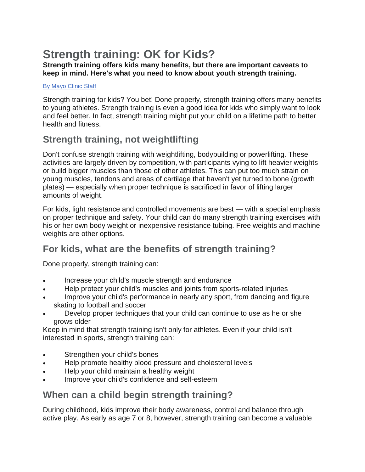# **Strength training: OK for Kids?**

#### **Strength training offers kids many benefits, but there are important caveats to keep in mind. Here's what you need to know about youth strength training.**

#### [By Mayo Clinic Staff](http://www.mayoclinic.org/about-this-site/welcome)

Strength training for kids? You bet! Done properly, strength training offers many benefits to young athletes. Strength training is even a good idea for kids who simply want to look and feel better. In fact, strength training might put your child on a lifetime path to better health and fitness.

# **Strength training, not weightlifting**

Don't confuse strength training with weightlifting, bodybuilding or powerlifting. These activities are largely driven by competition, with participants vying to lift heavier weights or build bigger muscles than those of other athletes. This can put too much strain on young muscles, tendons and areas of cartilage that haven't yet turned to bone (growth plates) — especially when proper technique is sacrificed in favor of lifting larger amounts of weight.

For kids, light resistance and controlled movements are best — with a special emphasis on proper technique and safety. Your child can do many strength training exercises with his or her own body weight or inexpensive resistance tubing. Free weights and machine weights are other options.

## **For kids, what are the benefits of strength training?**

Done properly, strength training can:

- Increase your child's muscle strength and endurance
- Help protect your child's muscles and joints from sports-related injuries
- Improve your child's performance in nearly any sport, from dancing and figure skating to football and soccer
- Develop proper techniques that your child can continue to use as he or she grows older

Keep in mind that strength training isn't only for athletes. Even if your child isn't interested in sports, strength training can:

- Strengthen your child's bones
- Help promote healthy blood pressure and cholesterol levels
- Help your child maintain a healthy weight
- Improve your child's confidence and self-esteem

### **When can a child begin strength training?**

During childhood, kids improve their body awareness, control and balance through active play. As early as age 7 or 8, however, strength training can become a valuable